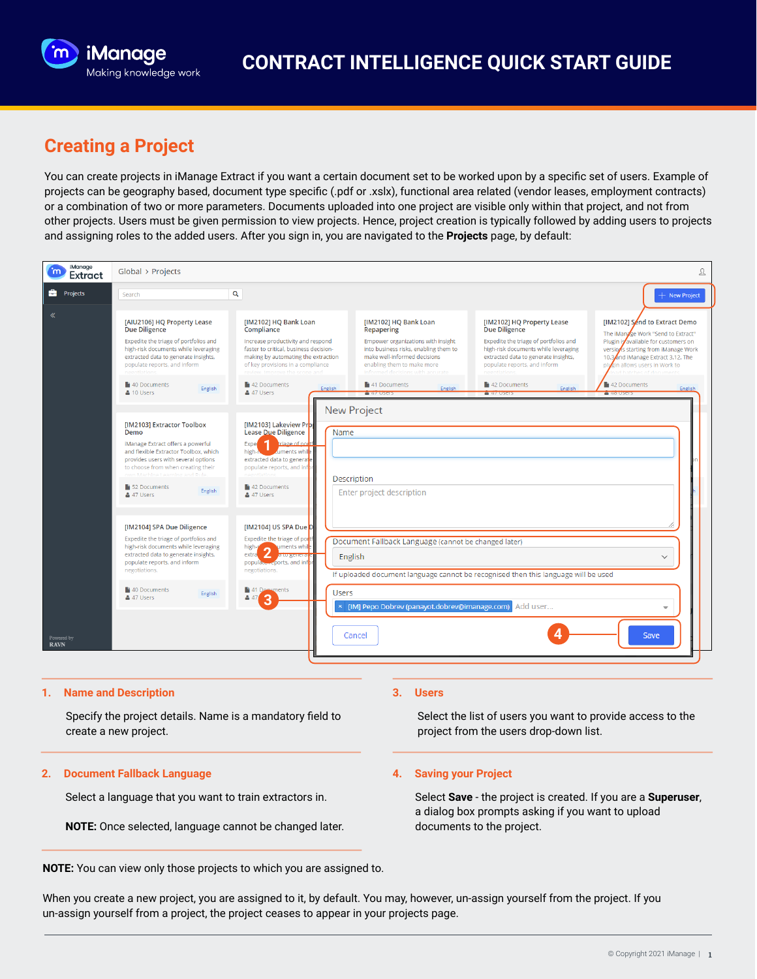

# **Creating a Project**

You can create projects in iManage Extract if you want a certain document set to be worked upon by a specific set of users. Example of projects can be geography based, document type specific (.pdf or .xslx), functional area related (vendor leases, employment contracts) or a combination of two or more parameters. Documents uploaded into one project are visible only within that project, and not from other projects. Users must be given permission to view projects. Hence, project creation is typically followed by adding users to projects and assigning roles to the added users. After you sign in, you are navigated to the **Projects** page, by default:

| iManage<br>m<br><b>Extract</b> | Global > Projects<br>ℒ                                                                                                                                                                                                                                                     |                                                                                                                                                                                                                                                                         |                                                                                                                                                                                                                                                                 |                                                                                                                                                                                                                                                                     |                                                                                                                                                                                                                                                                               |
|--------------------------------|----------------------------------------------------------------------------------------------------------------------------------------------------------------------------------------------------------------------------------------------------------------------------|-------------------------------------------------------------------------------------------------------------------------------------------------------------------------------------------------------------------------------------------------------------------------|-----------------------------------------------------------------------------------------------------------------------------------------------------------------------------------------------------------------------------------------------------------------|---------------------------------------------------------------------------------------------------------------------------------------------------------------------------------------------------------------------------------------------------------------------|-------------------------------------------------------------------------------------------------------------------------------------------------------------------------------------------------------------------------------------------------------------------------------|
| <b>De</b> Projects             | Search                                                                                                                                                                                                                                                                     | Q                                                                                                                                                                                                                                                                       |                                                                                                                                                                                                                                                                 |                                                                                                                                                                                                                                                                     | + New Project                                                                                                                                                                                                                                                                 |
| «                              | [AIU2106] HQ Property Lease<br><b>Due Diligence</b><br>Expedite the triage of portfolios and<br>high-risk documents while leveraging<br>extracted data to generate insights,<br>populate reports, and inform<br>40 Documents<br>English<br>& 10 Users                      | [IM2102] HQ Bank Loan<br>Compliance<br>Increase productivity and respond<br>faster to critical, business decision-<br>making by automating the extraction<br>of key provisions in a compliance<br>raview Improve the scope and<br>42 Documents<br>English<br>& 47 Users | [IM2102] HQ Bank Loan<br>Repapering<br>Empower organizations with insight<br>into business risks, enabling them to<br>make well-informed decisions<br>enabling them to make more<br>informed decisions with accurate<br>41 Documents<br>English<br>$-4$ / USCBS | [IM2102] HQ Property Lease<br><b>Due Diligence</b><br>Expedite the triage of portfolios and<br>high-risk documents while leveraging<br>extracted data to generate insights,<br>populate reports, and inform<br>negotiation<br>42 Documents<br>English<br>$47$ Users | [IM2102] Send to Extract Demo<br>The iManage Work "Send to Extract"<br>Plugin is available for customers on<br>versions starting from iManage Work<br>10.3 and iManage Extract 3.12. The<br>in allows users in Work to<br>plu<br>42 Documents<br>English<br><b>CONTRACTOR</b> |
|                                | [IM2103] Extractor Toolbox<br>Demo<br>iManage Extract offers a powerful<br>and flexible Extractor Toolbox, which<br>provides users with several options<br>to choose from when creating their<br>come to the above a community of<br>52 Documents<br>English<br>& 47 Users | [IM2103] Lakeview Prb<br><b>Lease Due Diligence</b><br>и<br>triage of port<br><b>Exper</b><br>high-r<br><b>Zuments while</b><br>extracted data to generate<br>populate reports, and infor<br>42 Documents<br>& 47 Users                                                 | <b>New Project</b><br>Name<br>Description<br>Enter project description                                                                                                                                                                                          |                                                                                                                                                                                                                                                                     |                                                                                                                                                                                                                                                                               |
|                                | [IM2104] SPA Due Diligence<br>Expedite the triage of portfolios and<br>high-risk documents while leveraging<br>extracted data to generate insights,<br>populate reports, and inform<br>negotiations.<br>40 Documents<br>English<br>& 47 Users                              | [IM2104] US SPA Due D<br>Expedite the triage of portf<br>suments while<br>high-r <sup>*</sup><br>extra<br>∠<br><b>ALLO SCHOLORS</b><br>popular ports, and infor<br>negotiations.<br>41 Documents<br>$447$ 3                                                             | Document Fallback Language (cannot be changed later)<br>English<br>If uploaded document language cannot be recognised then this language will be used<br><b>Users</b>                                                                                           |                                                                                                                                                                                                                                                                     | $\checkmark$                                                                                                                                                                                                                                                                  |
| Powered by<br><b>RAVN</b>      |                                                                                                                                                                                                                                                                            |                                                                                                                                                                                                                                                                         | [IM] Pepo Dobrev (panayot.dobrev@imanage.com)<br>Cancel                                                                                                                                                                                                         | Add user                                                                                                                                                                                                                                                            | Save                                                                                                                                                                                                                                                                          |

### **1. Name and Description**

Specify the project details. Name is a mandatory field to create a new project.

#### **2. Document Fallback Language**

Select a language that you want to train extractors in.

**NOTE:** Once selected, language cannot be changed later.

### **NOTE:** You can view only those projects to which you are assigned to.

#### **3. Users**

Select the list of users you want to provide access to the project from the users drop-down list.

## **4. Saving your Project**

Select **Save** - the project is created. If you are a **Superuser**, a dialog box prompts asking if you want to upload documents to the project.

When you create a new project, you are assigned to it, by default. You may, however, un-assign yourself from the project. If you un-assign yourself from a project, the project ceases to appear in your projects page.